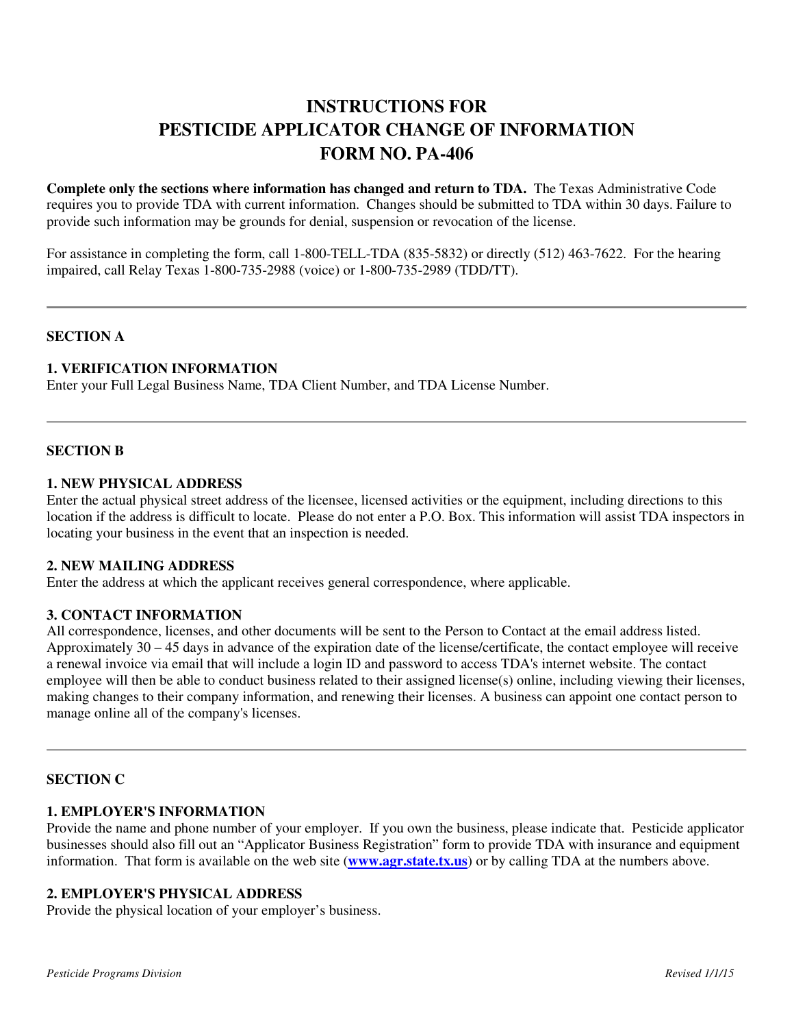# **INSTRUCTIONS FOR PESTICIDE APPLICATOR CHANGE OF INFORMATION FORM NO. PA-406**

**Complete only the sections where information has changed and return to TDA.** The Texas Administrative Code requires you to provide TDA with current information. Changes should be submitted to TDA within 30 days. Failure to provide such information may be grounds for denial, suspension or revocation of the license.

For assistance in completing the form, call 1-800-TELL-TDA (835-5832) or directly (512) 463-7622. For the hearing impaired, call Relay Texas 1-800-735-2988 (voice) or 1-800-735-2989 (TDD/TT).

# **SECTION A**

# **1. VERIFICATION INFORMATION**

Enter your Full Legal Business Name, TDA Client Number, and TDA License Number.

#### **SECTION B**

#### **1. NEW PHYSICAL ADDRESS**

Enter the actual physical street address of the licensee, licensed activities or the equipment, including directions to this location if the address is difficult to locate. Please do not enter a P.O. Box. This information will assist TDA inspectors in locating your business in the event that an inspection is needed.

#### **2. NEW MAILING ADDRESS**

Enter the address at which the applicant receives general correspondence, where applicable.

#### **3. CONTACT INFORMATION**

All correspondence, licenses, and other documents will be sent to the Person to Contact at the email address listed. Approximately 30 – 45 days in advance of the expiration date of the license/certificate, the contact employee will receive a renewal invoice via email that will include a login ID and password to access TDA's internet website. The contact employee will then be able to conduct business related to their assigned license(s) online, including viewing their licenses, making changes to their company information, and renewing their licenses. A business can appoint one contact person to manage online all of the company's licenses.

#### **SECTION C**

#### **1. EMPLOYER'S INFORMATION**

Provide the name and phone number of your employer. If you own the business, please indicate that. Pesticide applicator businesses should also fill out an "Applicator Business Registration" form to provide TDA with insurance and equipment information. That form is available on the web site (**www.agr.state.tx.us**) or by calling TDA at the numbers above.

# **2. EMPLOYER'S PHYSICAL ADDRESS**

Provide the physical location of your employer's business.